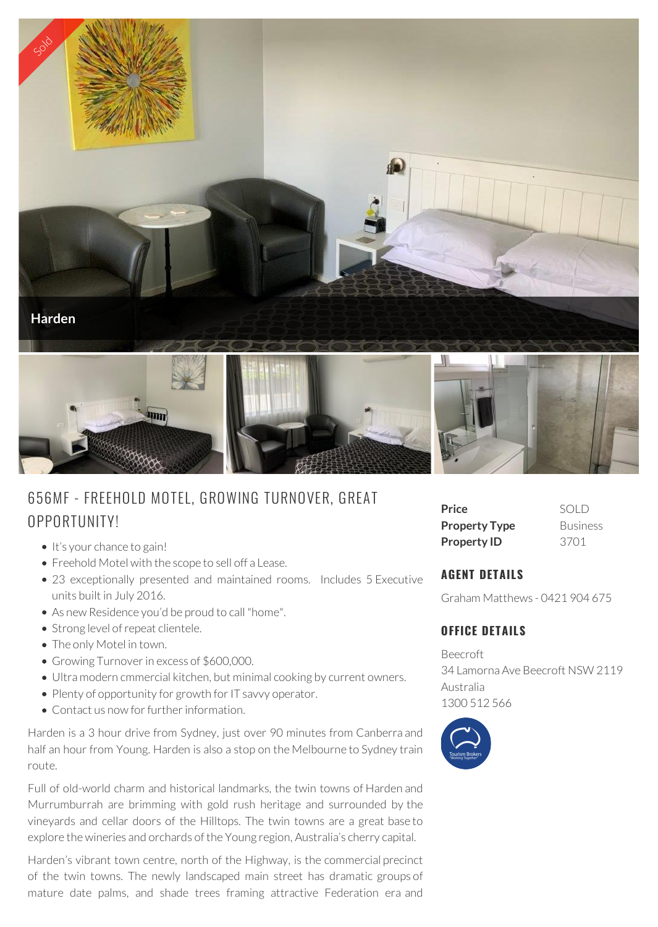

# 656MF - FREEHOLD MOTEL, G ROWING TURNOVER, G REAT OPPORTUNITY!

- $\bullet$  It's your chance to gain!
- Freehold Motel with the scope to sell off a Lease.
- 23 exceptionally presented and maintained rooms. Includes 5 Executive units built in July 2016.
- As new Residence you'd be proud to call "home".
- Strong level of repeat clientele.
- The only Motel in town.
- Growing Turnover in excess of \$600,000.
- Ultra modern cmmercial kitchen, but minimal cooking by current owners.
- Plenty of opportunity for growth for IT savvy operator.
- Contact us now for further information.

Harden is a 3 hour drive from Sydney, just over 90 minutes from Canberra and half an hour from Young. Harden is also a stop on the Melbourne to Sydney train route.

Full of old-world charm and historical landmarks, the twin towns of Harden and Murrumburrah are brimming with gold rush heritage and surrounded by the vineyards and cellar doors of the Hilltops. The twin towns are a great base to explore the wineries and orchards of the Young region, Australia's cherry capital.

Harden's vibrant town centre, north of the Highway, is the commercial precinct of the twin towns. The newly landscaped main street has dramatic groups of mature date palms, and shade trees framing attractive Federation era and

| Price                | SOLD            |
|----------------------|-----------------|
| <b>Property Type</b> | <b>Business</b> |
| <b>Property ID</b>   | 3701            |

## **AGENT DETAILS**

Graham Matthews - 0421 904 675

## **OFFICE DETAILS**

Beecroft 34 Lamorna Ave Beecroft NSW 2119 Australia 1300 512 566